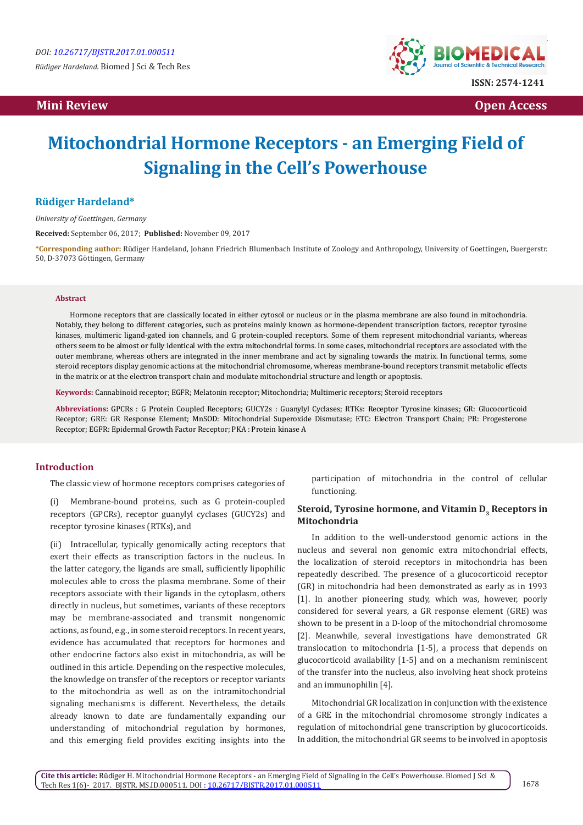**Mini Review Open Access** 



# **Mitochondrial Hormone Receptors - an Emerging Field of Signaling in the Cell's Powerhouse**

## **Rüdiger Hardeland\***

*University of Goettingen, Germany*

**Received:** September 06, 2017; **Published:** November 09, 2017

**\*Corresponding author:** Rüdiger Hardeland, Johann Friedrich Blumenbach Institute of Zoology and Anthropology, University of Goettingen, Buergerstr. 50, D-37073 Göttingen, Germany

#### **Abstract**

Hormone receptors that are classically located in either cytosol or nucleus or in the plasma membrane are also found in mitochondria. Notably, they belong to different categories, such as proteins mainly known as hormone-dependent transcription factors, receptor tyrosine kinases, multimeric ligand-gated ion channels, and G protein-coupled receptors. Some of them represent mitochondrial variants, whereas others seem to be almost or fully identical with the extra mitochondrial forms. In some cases, mitochondrial receptors are associated with the outer membrane, whereas others are integrated in the inner membrane and act by signaling towards the matrix. In functional terms, some steroid receptors display genomic actions at the mitochondrial chromosome, whereas membrane-bound receptors transmit metabolic effects in the matrix or at the electron transport chain and modulate mitochondrial structure and length or apoptosis.

**Keywords:** Cannabinoid receptor; EGFR; Melatonin receptor; Mitochondria; Multimeric receptors; Steroid receptors

**Abbreviations:** GPCRs : G Protein Coupled Receptors; GUCY2s : Guanylyl Cyclases; RTKs: Receptor Tyrosine kinases; GR: Glucocorticoid Receptor; GRE: GR Response Element; MnSOD: Mitochondrial Superoxide Dismutase; ETC: Electron Transport Chain; PR: Progesterone Receptor; EGFR: Epidermal Growth Factor Receptor; PKA : Protein kinase A

### **Introduction**

The classic view of hormone receptors comprises categories of

(i) Membrane-bound proteins, such as G protein-coupled receptors (GPCRs), receptor guanylyl cyclases (GUCY2s) and receptor tyrosine kinases (RTKs), and

(ii) Intracellular, typically genomically acting receptors that exert their effects as transcription factors in the nucleus. In the latter category, the ligands are small, sufficiently lipophilic molecules able to cross the plasma membrane. Some of their receptors associate with their ligands in the cytoplasm, others directly in nucleus, but sometimes, variants of these receptors may be membrane-associated and transmit nongenomic actions, as found, e.g., in some steroid receptors. In recent years, evidence has accumulated that receptors for hormones and other endocrine factors also exist in mitochondria, as will be outlined in this article. Depending on the respective molecules, the knowledge on transfer of the receptors or receptor variants to the mitochondria as well as on the intramitochondrial signaling mechanisms is different. Nevertheless, the details already known to date are fundamentally expanding our understanding of mitochondrial regulation by hormones, and this emerging field provides exciting insights into the

participation of mitochondria in the control of cellular functioning.

## Steroid, Tyrosine hormone, and Vitamin D<sub>3</sub> Receptors in **Mitochondria**

In addition to the well-understood genomic actions in the nucleus and several non genomic extra mitochondrial effects, the localization of steroid receptors in mitochondria has been repeatedly described. The presence of a glucocorticoid receptor (GR) in mitochondria had been demonstrated as early as in 1993 [1]. In another pioneering study, which was, however, poorly considered for several years, a GR response element (GRE) was shown to be present in a D-loop of the mitochondrial chromosome [2]. Meanwhile, several investigations have demonstrated GR translocation to mitochondria [1-5], a process that depends on glucocorticoid availability [1-5] and on a mechanism reminiscent of the transfer into the nucleus, also involving heat shock proteins and an immunophilin [4].

Mitochondrial GR localization in conjunction with the existence of a GRE in the mitochondrial chromosome strongly indicates a regulation of mitochondrial gene transcription by glucocorticoids. In addition, the mitochondrial GR seems to be involved in apoptosis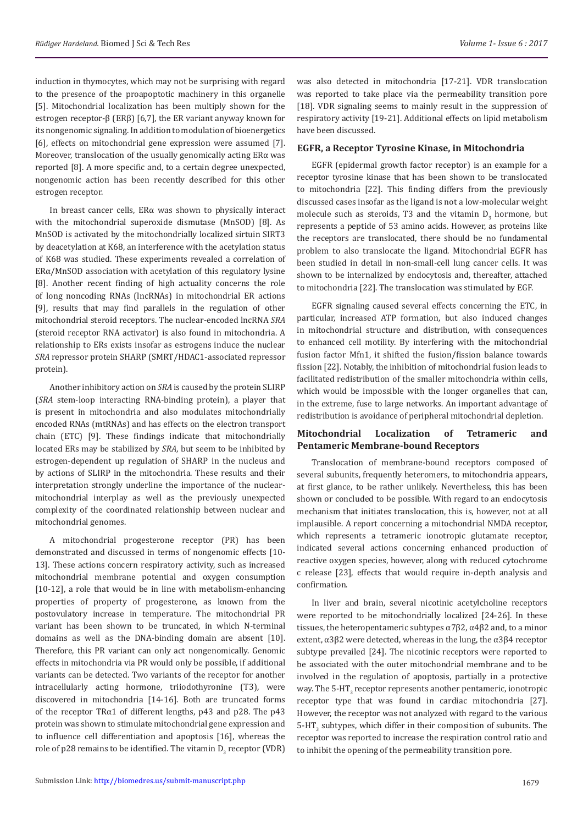induction in thymocytes, which may not be surprising with regard to the presence of the proapoptotic machinery in this organelle [5]. Mitochondrial localization has been multiply shown for the estrogen receptor-β (ERβ) [6,7], the ER variant anyway known for its nongenomic signaling. In addition to modulation of bioenergetics [6], effects on mitochondrial gene expression were assumed [7]. Moreover, translocation of the usually genomically acting ERα was reported [8]. A more specific and, to a certain degree unexpected, nongenomic action has been recently described for this other estrogen receptor.

In breast cancer cells, ERα was shown to physically interact with the mitochondrial superoxide dismutase (MnSOD) [8]. As MnSOD is activated by the mitochondrially localized sirtuin SIRT3 by deacetylation at K68, an interference with the acetylation status of K68 was studied. These experiments revealed a correlation of  $ER\alpha/MnSOD$  association with acetylation of this regulatory lysine [8]. Another recent finding of high actuality concerns the role of long noncoding RNAs (lncRNAs) in mitochondrial ER actions [9], results that may find parallels in the regulation of other mitochondrial steroid receptors. The nuclear-encoded lncRNA *SRA*  (steroid receptor RNA activator) is also found in mitochondria. A relationship to ERs exists insofar as estrogens induce the nuclear *SRA* repressor protein SHARP (SMRT/HDAC1-associated repressor protein).

Another inhibitory action on *SRA* is caused by the protein SLIRP (*SRA* stem-loop interacting RNA-binding protein), a player that is present in mitochondria and also modulates mitochondrially encoded RNAs (mtRNAs) and has effects on the electron transport chain (ETC) [9]. These findings indicate that mitochondrially located ERs may be stabilized by *SRA*, but seem to be inhibited by estrogen-dependent up regulation of SHARP in the nucleus and by actions of SLIRP in the mitochondria. These results and their interpretation strongly underline the importance of the nuclearmitochondrial interplay as well as the previously unexpected complexity of the coordinated relationship between nuclear and mitochondrial genomes.

A mitochondrial progesterone receptor (PR) has been demonstrated and discussed in terms of nongenomic effects [10- 13]. These actions concern respiratory activity, such as increased mitochondrial membrane potential and oxygen consumption [10-12], a role that would be in line with metabolism-enhancing properties of property of progesterone, as known from the postovulatory increase in temperature. The mitochondrial PR variant has been shown to be truncated, in which N-terminal domains as well as the DNA-binding domain are absent [10]. Therefore, this PR variant can only act nongenomically. Genomic effects in mitochondria via PR would only be possible, if additional variants can be detected. Two variants of the receptor for another intracellularly acting hormone, triiodothyronine (T3), were discovered in mitochondria [14-16]. Both are truncated forms of the receptor TRα1 of different lengths, p43 and p28. The p43 protein was shown to stimulate mitochondrial gene expression and to influence cell differentiation and apoptosis [16], whereas the role of p28 remains to be identified. The vitamin  $D_3$  receptor (VDR) was also detected in mitochondria [17-21]. VDR translocation was reported to take place via the permeability transition pore [18]. VDR signaling seems to mainly result in the suppression of respiratory activity [19-21]. Additional effects on lipid metabolism have been discussed.

### **EGFR, a Receptor Tyrosine Kinase, in Mitochondria**

EGFR (epidermal growth factor receptor) is an example for a receptor tyrosine kinase that has been shown to be translocated to mitochondria [22]. This finding differs from the previously discussed cases insofar as the ligand is not a low-molecular weight molecule such as steroids, T3 and the vitamin  $D_3$  hormone, but represents a peptide of 53 amino acids. However, as proteins like the receptors are translocated, there should be no fundamental problem to also translocate the ligand. Mitochondrial EGFR has been studied in detail in non-small-cell lung cancer cells. It was shown to be internalized by endocytosis and, thereafter, attached to mitochondria [22]. The translocation was stimulated by EGF.

EGFR signaling caused several effects concerning the ETC, in particular, increased ATP formation, but also induced changes in mitochondrial structure and distribution, with consequences to enhanced cell motility. By interfering with the mitochondrial fusion factor Mfn1, it shifted the fusion/fission balance towards fission [22]. Notably, the inhibition of mitochondrial fusion leads to facilitated redistribution of the smaller mitochondria within cells, which would be impossible with the longer organelles that can, in the extreme, fuse to large networks. An important advantage of redistribution is avoidance of peripheral mitochondrial depletion.

## **Mitochondrial Localization of Tetrameric and Pentameric Membrane-bound Receptors**

Translocation of membrane-bound receptors composed of several subunits, frequently heteromers, to mitochondria appears, at first glance, to be rather unlikely. Nevertheless, this has been shown or concluded to be possible. With regard to an endocytosis mechanism that initiates translocation, this is, however, not at all implausible. A report concerning a mitochondrial NMDA receptor, which represents a tetrameric ionotropic glutamate receptor, indicated several actions concerning enhanced production of reactive oxygen species, however, along with reduced cytochrome c release [23], effects that would require in-depth analysis and confirmation.

In liver and brain, several nicotinic acetylcholine receptors were reported to be mitochondrially localized [24-26]. In these tissues, the heteropentameric subtypes  $\alpha$ 7 $\beta$ 2,  $\alpha$ 4 $\beta$ 2 and, to a minor extent,  $\alpha$ 3β2 were detected, whereas in the lung, the  $\alpha$ 3β4 receptor subtype prevailed [24]. The nicotinic receptors were reported to be associated with the outer mitochondrial membrane and to be involved in the regulation of apoptosis, partially in a protective way. The  $5-HT<sub>2</sub>$  receptor represents another pentameric, ionotropic receptor type that was found in cardiac mitochondria [27]. However, the receptor was not analyzed with regard to the various 5-HT $_3$  subtypes, which differ in their composition of subunits. The receptor was reported to increase the respiration control ratio and to inhibit the opening of the permeability transition pore.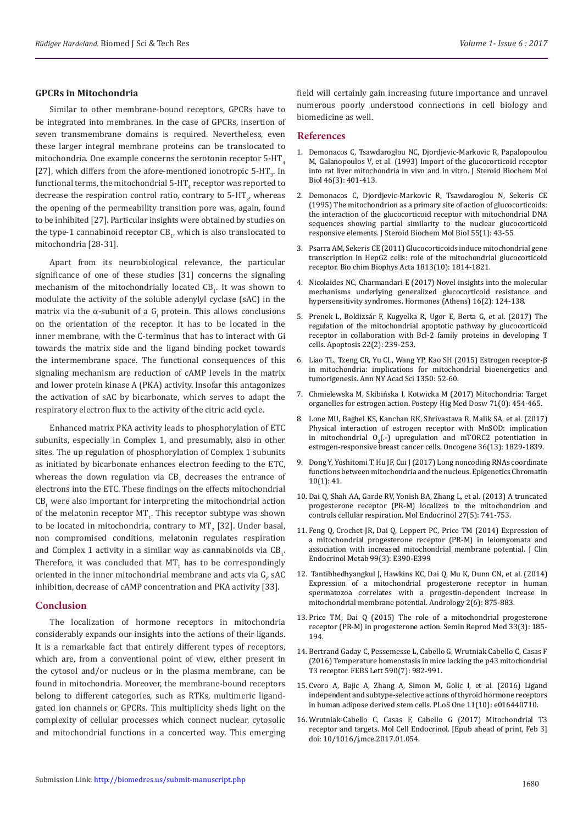#### **GPCRs in Mitochondria**

Similar to other membrane-bound receptors, GPCRs have to be integrated into membranes. In the case of GPCRs, insertion of seven transmembrane domains is required. Nevertheless, even these larger integral membrane proteins can be translocated to mitochondria. One example concerns the serotonin receptor  $5-HT<sub>4</sub>$ [27], which differs from the afore-mentioned ionotropic 5-HT<sub>3</sub>. In functional terms, the mitochondrial 5-HT $_{\rm 4}^{\rm 7}$  receptor was reported to decrease the respiration control ratio, contrary to 5-HT $_{\rm 3'}$ , whereas the opening of the permeability transition pore was, again, found to be inhibited [27]. Particular insights were obtained by studies on the type-1 cannabinoid receptor  $\text{CB}_1$ , which is also translocated to mitochondria [28-31].

Apart from its neurobiological relevance, the particular significance of one of these studies [31] concerns the signaling mechanism of the mitochondrially located  $\text{CB}_1$ . It was shown to modulate the activity of the soluble adenylyl cyclase (sAC) in the matrix via the α-subunit of a  $\mathsf{G}_\mathsf{i}$  protein. This allows conclusions on the orientation of the receptor. It has to be located in the inner membrane, with the C-terminus that has to interact with Gi towards the matrix side and the ligand binding pocket towards the intermembrane space. The functional consequences of this signaling mechanism are reduction of cAMP levels in the matrix and lower protein kinase A (PKA) activity. Insofar this antagonizes the activation of sAC by bicarbonate, which serves to adapt the respiratory electron flux to the activity of the citric acid cycle.

Enhanced matrix PKA activity leads to phosphorylation of ETC subunits, especially in Complex 1, and presumably, also in other sites. The up regulation of phosphorylation of Complex 1 subunits as initiated by bicarbonate enhances electron feeding to the ETC, whereas the down regulation via  $\text{CB}_1$  decreases the entrance of electrons into the ETC. These findings on the effects mitochondrial  $\text{CB}_1$  were also important for interpreting the mitochondrial action of the melatonin receptor MT<sub>1</sub>. This receptor subtype was shown to be located in mitochondria, contrary to MT<sub>2</sub> [32]. Under basal, non compromised conditions, melatonin regulates respiration and Complex 1 activity in a similar way as cannabinoids via  $\text{CB}_\text{1}$ . Therefore, it was concluded that  $MT_{1}$  has to be correspondingly oriented in the inner mitochondrial membrane and acts via  $\mathsf{G}_\mathrm{p}$  sAC inhibition, decrease of cAMP concentration and PKA activity [33].

## **Conclusion**

The localization of hormone receptors in mitochondria considerably expands our insights into the actions of their ligands. It is a remarkable fact that entirely different types of receptors, which are, from a conventional point of view, either present in the cytosol and/or nucleus or in the plasma membrane, can be found in mitochondria. Moreover, the membrane-bound receptors belong to different categories, such as RTKs, multimeric ligandgated ion channels or GPCRs. This multiplicity sheds light on the complexity of cellular processes which connect nuclear, cytosolic and mitochondrial functions in a concerted way. This emerging

field will certainly gain increasing future importance and unravel numerous poorly understood connections in cell biology and biomedicine as well.

#### **References**

- 1. [Demonacos C, Tsawdaroglou NC, Djordjevic-Markovic R, Papalopoulou](https://www.ncbi.nlm.nih.gov/pubmed/9831490) [M, Galanopoulos V, et al. \(1993\) Import of the glucocorticoid receptor](https://www.ncbi.nlm.nih.gov/pubmed/9831490) [into rat liver mitochondria in vivo and in vitro. J Steroid Biochem Mol](https://www.ncbi.nlm.nih.gov/pubmed/9831490) [Biol 46\(3\): 401-413.](https://www.ncbi.nlm.nih.gov/pubmed/9831490)
- 2. [Demonacos C, Djordjevic-Markovic R, Tsawdaroglou N, Sekeris CE](https://www.researchgate.net/publication/15620839_The_mitochondrion_as_a_primary_site_of_action_of_glucocorticoids_The_interaction_of_the_glucocorticoid_receptor_with_mitochondrial_DNA_sequences_showing_partial_similarity_to_the_nuclear_glucocorticoi) [\(1995\) The mitochondrion as a primary site of action of glucocorticoids:](https://www.researchgate.net/publication/15620839_The_mitochondrion_as_a_primary_site_of_action_of_glucocorticoids_The_interaction_of_the_glucocorticoid_receptor_with_mitochondrial_DNA_sequences_showing_partial_similarity_to_the_nuclear_glucocorticoi) [the interaction of the glucocorticoid receptor with mitochondrial DNA](https://www.researchgate.net/publication/15620839_The_mitochondrion_as_a_primary_site_of_action_of_glucocorticoids_The_interaction_of_the_glucocorticoid_receptor_with_mitochondrial_DNA_sequences_showing_partial_similarity_to_the_nuclear_glucocorticoi) [sequences showing partial similarity to the nuclear glucocorticoid](https://www.researchgate.net/publication/15620839_The_mitochondrion_as_a_primary_site_of_action_of_glucocorticoids_The_interaction_of_the_glucocorticoid_receptor_with_mitochondrial_DNA_sequences_showing_partial_similarity_to_the_nuclear_glucocorticoi) [responsive elements. J Steroid Biochem Mol Biol 55\(1\): 43-55.](https://www.researchgate.net/publication/15620839_The_mitochondrion_as_a_primary_site_of_action_of_glucocorticoids_The_interaction_of_the_glucocorticoid_receptor_with_mitochondrial_DNA_sequences_showing_partial_similarity_to_the_nuclear_glucocorticoi)
- 3. [Psarra AM, Sekeris CE \(2011\) Glucocorticoids induce mitochondrial gene](https://www.ncbi.nlm.nih.gov/pubmed/21664385) [transcription in HepG2 cells: role of the mitochondrial glucocorticoid](https://www.ncbi.nlm.nih.gov/pubmed/21664385) [receptor. Bio chim Biophys Acta 1813\(10\): 1814-1821.](https://www.ncbi.nlm.nih.gov/pubmed/21664385)
- 4. [Nicolaides NC, Charmandari E \(2017\) Novel insights into the molecular](https://www.ncbi.nlm.nih.gov/pubmed/28742501) [mechanisms underlying generalized glucocorticoid resistance and](https://www.ncbi.nlm.nih.gov/pubmed/28742501) [hypersensitivity syndromes. Hormones \(Athens\) 16\(2\): 124-138.](https://www.ncbi.nlm.nih.gov/pubmed/28742501)
- 5. [Prenek L, Boldizsár F, Kugyelka R, Ugor E, Berta G, et al. \(2017\) The](https://www.ncbi.nlm.nih.gov/pmc/articles/PMC5306359/) [regulation of the mitochondrial apoptotic pathway by glucocorticoid](https://www.ncbi.nlm.nih.gov/pmc/articles/PMC5306359/) [receptor in collaboration with Bcl-2 family proteins in developing T](https://www.ncbi.nlm.nih.gov/pmc/articles/PMC5306359/) [cells. Apoptosis 22\(2\): 239-253.](https://www.ncbi.nlm.nih.gov/pmc/articles/PMC5306359/)
- 6. [Liao TL, Tzeng CR, Yu CL, Wang YP, Kao SH \(2015\) Estrogen receptor-β](https://www.ncbi.nlm.nih.gov/pubmed/26301952) [in mitochondria: implications for mitochondrial bioenergetics and](https://www.ncbi.nlm.nih.gov/pubmed/26301952) [tumorigenesis. Ann NY Acad Sci 1350: 52-60.](https://www.ncbi.nlm.nih.gov/pubmed/26301952)
- 7. [Chmielewska M, Skibińska I, Kotwicka M \(2017\) Mitochondria: Target](https://www.ncbi.nlm.nih.gov/pubmed/28665276) [organelles for estrogen action. Postepy Hig Med Dosw 71\(0\): 454-465.](https://www.ncbi.nlm.nih.gov/pubmed/28665276)
- 8. [Lone MU, Baghel KS, Kanchan RK, Shrivastava R, Malik SA, et al. \(2017\)](https://www.ncbi.nlm.nih.gov/pubmed/27721400) [Physical interaction of estrogen receptor with MnSOD: implication](https://www.ncbi.nlm.nih.gov/pubmed/27721400) in mitochondrial  $O_2$ ( $\cdot$ ) upregulation and mTORC2 potentiation in [estrogen-responsive breast cancer cells. Oncogene 36\(13\): 1829-1839.](https://www.ncbi.nlm.nih.gov/pubmed/27721400)
- 9. [Dong Y, Yoshitomi T, Hu JF, Cui J \(2017\) Long noncoding RNAs coordinate](https://epigeneticsandchromatin.biomedcentral.com/articles/10.1186/s13072-017-0149-x) [functions between mitochondria and the nucleus. Epigenetics Chromatin](https://epigeneticsandchromatin.biomedcentral.com/articles/10.1186/s13072-017-0149-x) [10\(1\): 41.](https://epigeneticsandchromatin.biomedcentral.com/articles/10.1186/s13072-017-0149-x)
- 10. [Dai Q, Shah AA, Garde RV, Yonish BA, Zhang L, et al. \(2013\) A truncated](https://www.ncbi.nlm.nih.gov/pubmed/23518922) [progesterone receptor \(PR-M\) localizes to the mitochondrion and](https://www.ncbi.nlm.nih.gov/pubmed/23518922) [controls cellular respiration. Mol Endocrinol 27\(5\): 741-753.](https://www.ncbi.nlm.nih.gov/pubmed/23518922)
- 11. [Feng Q, Crochet JR, Dai Q, Leppert PC, Price TM \(2014\) Expression of](https://www.ncbi.nlm.nih.gov/pubmed/24423317) [a mitochondrial progesterone receptor \(PR-M\) in leiomyomata and](https://www.ncbi.nlm.nih.gov/pubmed/24423317) [association with increased mitochondrial membrane potential. J Clin](https://www.ncbi.nlm.nih.gov/pubmed/24423317) [Endocrinol Metab 99\(3\): E390-E399](https://www.ncbi.nlm.nih.gov/pubmed/24423317)
- 12. [Tantibhedhyangkul J, Hawkins KC, Dai Q, Mu K, Dunn CN, et al. \(2014\)](https://www.ncbi.nlm.nih.gov/pubmed/25187426) [Expression of a mitochondrial progesterone receptor in human](https://www.ncbi.nlm.nih.gov/pubmed/25187426) [spermatozoa correlates with a progestin-dependent increase in](https://www.ncbi.nlm.nih.gov/pubmed/25187426) [mitochondrial membrane potential. Andrology 2\(6\): 875-883.](https://www.ncbi.nlm.nih.gov/pubmed/25187426)
- 13. [Price TM, Dai Q \(2015\) The role of a mitochondrial progesterone](https://www.ncbi.nlm.nih.gov/pubmed/26036900) [receptor \(PR-M\) in progesterone action. Semin Reprod Med 33\(3\): 185-](https://www.ncbi.nlm.nih.gov/pubmed/26036900) [194.](https://www.ncbi.nlm.nih.gov/pubmed/26036900)
- 14. [Bertrand Gaday C, Pessemesse L, Cabello G, Wrutniak Cabello C, Casas F](https://www.ncbi.nlm.nih.gov/pubmed/26970082) [\(2016\) Temperature homeostasis in mice lacking the p43 mitochondrial](https://www.ncbi.nlm.nih.gov/pubmed/26970082) [T3 receptor. FEBS Lett 590\(7\): 982-991.](https://www.ncbi.nlm.nih.gov/pubmed/26970082)
- 15. [Cvoro A, Bajic A, Zhang A, Simon M, Golic I, et al. \(2016\) Ligand](http://journals.plos.org/plosone/article?id=10.1371/journal.pone.0164407) [independent and subtype-selective actions of thyroid hormone receptors](http://journals.plos.org/plosone/article?id=10.1371/journal.pone.0164407) [in human adipose derived stem cells. PLoS One 11\(10\): e016440710.](http://journals.plos.org/plosone/article?id=10.1371/journal.pone.0164407)
- 16. [Wrutniak-Cabello C, Casas F, Cabello G \(2017\) Mitochondrial T3](https://www.ncbi.nlm.nih.gov/pubmed/28167126) [receptor and targets. Mol Cell Endocrinol.](https://www.ncbi.nlm.nih.gov/pubmed/28167126) [Epub ahead of print, Feb 3] doi: 10/1016/j.mce.2017.01.054.